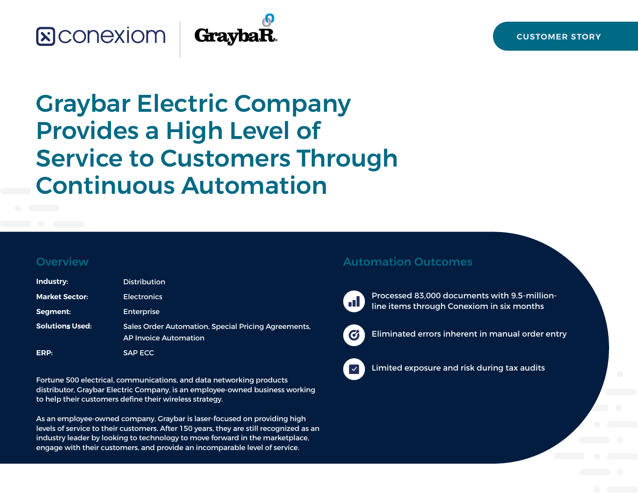# **&CONEXIOM**



# Graybar Electric Company Provides a High Level of Service to Customers Through Continuous Automation

#### **Overview**

| Industry:              | <b>Distribution</b>                                                                 |
|------------------------|-------------------------------------------------------------------------------------|
| <b>Market Sector:</b>  | <b>Electronics</b>                                                                  |
| Segment:               | <b>Enterprise</b>                                                                   |
| <b>Solutions Used:</b> | Sales Order Automation, Special Pricing Agreements,<br><b>AP Invoice Automation</b> |
| ERP:                   | <b>SAP ECC</b>                                                                      |

Fortune 500 electrical, communications, and data networking products distributor, Graybar Electric Company, is an employee-owned business working to help their customers define their wireless strategy.

As an employee-owned company, Graybar is laser-focused on providing high levels of service to their customers. After 150 years, they are still recognized as an industry leader by looking to technology to move forward in the marketplace, engage with their customers, and provide an incomparable level of service.

#### Automation Outcomes



Processed 83,000 documents with 9.5-millionline items through Conexiom in six months



Eliminated errors inherent in manual order entry



Limited exposure and risk during tax audits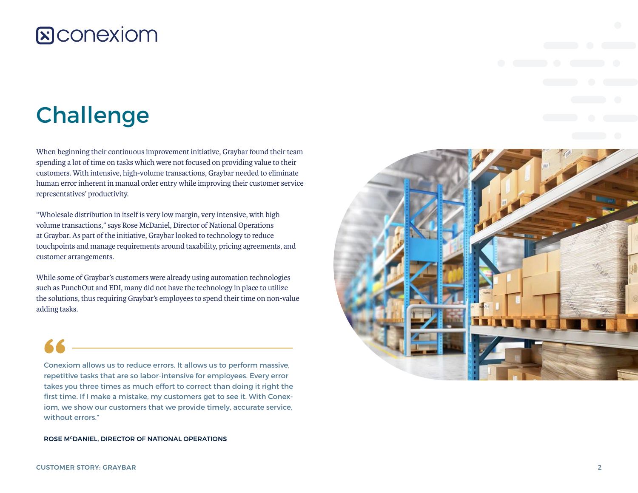# Challenge

When beginning their continuous improvement initiative, Graybar found their team spending a lot of time on tasks which were not focused on providing value to their customers. With intensive, high-volume transactions, Graybar needed to eliminate human error inherent in manual order entry while improving their customer service representatives' productivity.

"Wholesale distribution in itself is very low margin, very intensive, with high volume transactions," says Rose McDaniel, Director of National Operations at Graybar. As part of the initiative, Graybar looked to technology to reduce touchpoints and manage requirements around taxability, pricing agreements, and customer arrangements.

While some of Graybar's customers were already using automation technologies such as PunchOut and EDI, many did not have the technology in place to utilize the solutions, thus requiring Graybar's employees to spend their time on non-value adding tasks.

Conexiom allows us to reduce errors. It allows us to perform massive, repetitive tasks that are so labor-intensive for employees. Every error takes you three times as much effort to correct than doing it right the first time. If I make a mistake, my customers get to see it. With Conexiom, we show our customers that we provide timely, accurate service, without errors."

ROSE M<sup>c</sup>DANIEL, DIRECTOR OF NATIONAL OPERATIONS

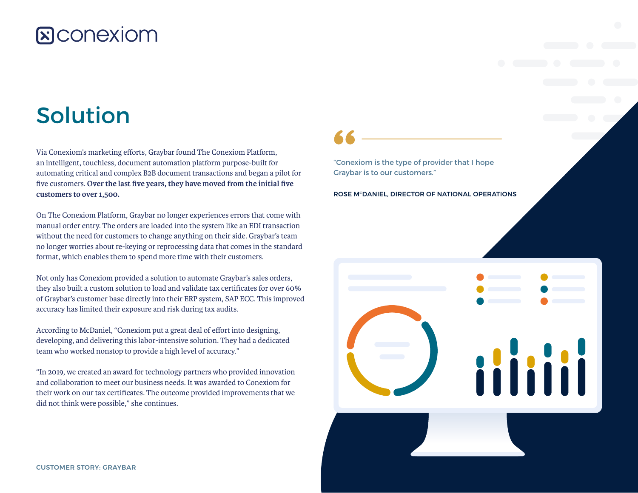# Solution

Via Conexiom's marketing efforts, Graybar found The Conexiom Platform, an intelligent, touchless, document automation platform purpose-built for automating critical and complex B2B document transactions and began a pilot for five customers. **Over the last five years, they have moved from the initial five customers to over 1,500.**

On The Conexiom Platform, Graybar no longer experiences errors that come with manual order entry. The orders are loaded into the system like an EDI transaction without the need for customers to change anything on their side. Graybar's team no longer worries about re-keying or reprocessing data that comes in the standard format, which enables them to spend more time with their customers.

Not only has Conexiom provided a solution to automate Graybar's sales orders, they also built a custom solution to load and validate tax certificates for over 60% of Graybar's customer base directly into their ERP system, SAP ECC. This improved accuracy has limited their exposure and risk during tax audits.

According to McDaniel, "Conexiom put a great deal of effort into designing, developing, and delivering this labor-intensive solution. They had a dedicated team who worked nonstop to provide a high level of accuracy."

"In 2019, we created an award for technology partners who provided innovation and collaboration to meet our business needs. It was awarded to Conexiom for their work on our tax certificates. The outcome provided improvements that we did not think were possible," she continues.

"Conexiom is the type of provider that I hope Graybar is to our customers."

ROSE M<sup>c</sup>DANIEL, DIRECTOR OF NATIONAL OPERATIONS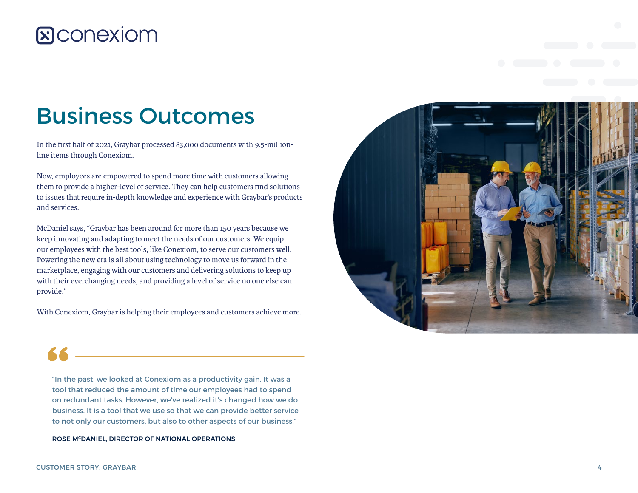# Business Outcomes

In the first half of 2021, Graybar processed 83,000 documents with 9.5-millionline items through Conexiom.

Now, employees are empowered to spend more time with customers allowing them to provide a higher-level of service. They can help customers find solutions to issues that require in-depth knowledge and experience with Graybar's products and services.

McDaniel says, "Graybar has been around for more than 150 years because we keep innovating and adapting to meet the needs of our customers. We equip our employees with the best tools, like Conexiom, to serve our customers well. Powering the new era is all about using technology to move us forward in the marketplace, engaging with our customers and delivering solutions to keep up with their everchanging needs, and providing a level of service no one else can provide."

With Conexiom, Graybar is helping their employees and customers achieve more.



"In the past, we looked at Conexiom as a productivity gain. It was a tool that reduced the amount of time our employees had to spend on redundant tasks. However, we've realized it's changed how we do business. It is a tool that we use so that we can provide better service to not only our customers, but also to other aspects of our business."

ROSE M<sup>c</sup>DANIEL, DIRECTOR OF NATIONAL OPERATIONS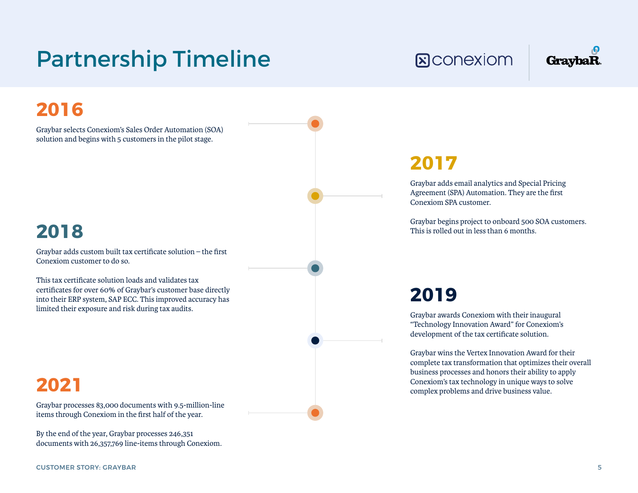# Partnership Timeline

## **2016**

Graybar selects Conexiom's Sales Order Automation (SOA) solution and begins with 5 customers in the pilot stage.

#### **2018**

Graybar adds custom built tax certificate solution – the first Conexiom customer to do so.

This tax certificate solution loads and validates tax certificates for over 60% of Graybar's customer base directly into their ERP system, SAP ECC. This improved accuracy has limited their exposure and risk during tax audits.

### **2021**

Graybar processes 83,000 documents with 9.5-million-line items through Conexiom in the first half of the year.

By the end of the year, Graybar processes 246,351 documents with 26,357,769 line-items through Conexiom.

#### CUSTOMER STORY: GRAYBAR 5

**R**CONEXIOM

## **GraybaR**

#### **2017**

Graybar adds email analytics and Special Pricing Agreement (SPA) Automation. They are the first Conexiom SPA customer.

Graybar begins project to onboard 500 SOA customers. This is rolled out in less than 6 months.

#### **2019**

Graybar awards Conexiom with their inaugural "Technology Innovation Award" for Conexiom's development of the tax certificate solution.

Graybar wins the Vertex Innovation Award for their complete tax transformation that optimizes their overall business processes and honors their ability to apply Conexiom's tax technology in unique ways to solve complex problems and drive business value.